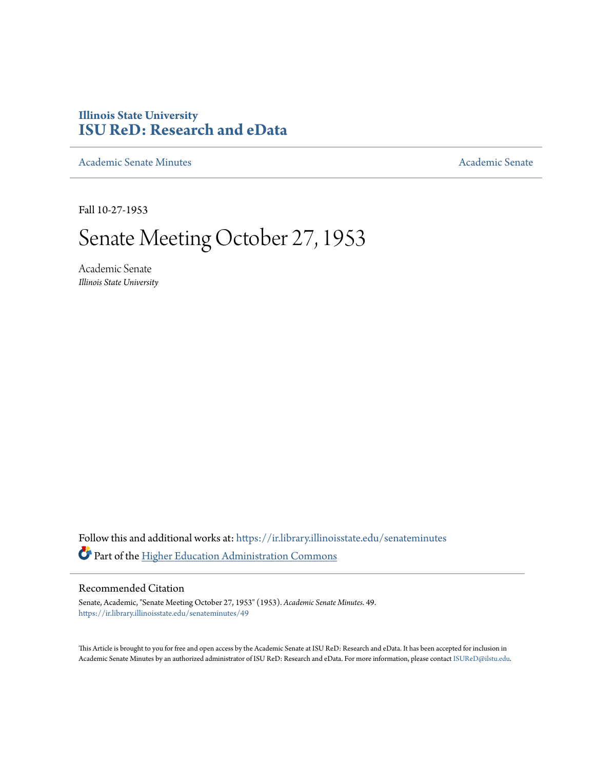## **Illinois State University [ISU ReD: Research and eData](https://ir.library.illinoisstate.edu?utm_source=ir.library.illinoisstate.edu%2Fsenateminutes%2F49&utm_medium=PDF&utm_campaign=PDFCoverPages)**

[Academic Senate Minutes](https://ir.library.illinoisstate.edu/senateminutes?utm_source=ir.library.illinoisstate.edu%2Fsenateminutes%2F49&utm_medium=PDF&utm_campaign=PDFCoverPages) [Academic Senate](https://ir.library.illinoisstate.edu/senate?utm_source=ir.library.illinoisstate.edu%2Fsenateminutes%2F49&utm_medium=PDF&utm_campaign=PDFCoverPages) Academic Senate

Fall 10-27-1953

## Senate Meeting October 27, 1953

Academic Senate *Illinois State University*

Follow this and additional works at: [https://ir.library.illinoisstate.edu/senateminutes](https://ir.library.illinoisstate.edu/senateminutes?utm_source=ir.library.illinoisstate.edu%2Fsenateminutes%2F49&utm_medium=PDF&utm_campaign=PDFCoverPages) Part of the [Higher Education Administration Commons](http://network.bepress.com/hgg/discipline/791?utm_source=ir.library.illinoisstate.edu%2Fsenateminutes%2F49&utm_medium=PDF&utm_campaign=PDFCoverPages)

## Recommended Citation

Senate, Academic, "Senate Meeting October 27, 1953" (1953). *Academic Senate Minutes*. 49. [https://ir.library.illinoisstate.edu/senateminutes/49](https://ir.library.illinoisstate.edu/senateminutes/49?utm_source=ir.library.illinoisstate.edu%2Fsenateminutes%2F49&utm_medium=PDF&utm_campaign=PDFCoverPages)

This Article is brought to you for free and open access by the Academic Senate at ISU ReD: Research and eData. It has been accepted for inclusion in Academic Senate Minutes by an authorized administrator of ISU ReD: Research and eData. For more information, please contact [ISUReD@ilstu.edu.](mailto:ISUReD@ilstu.edu)